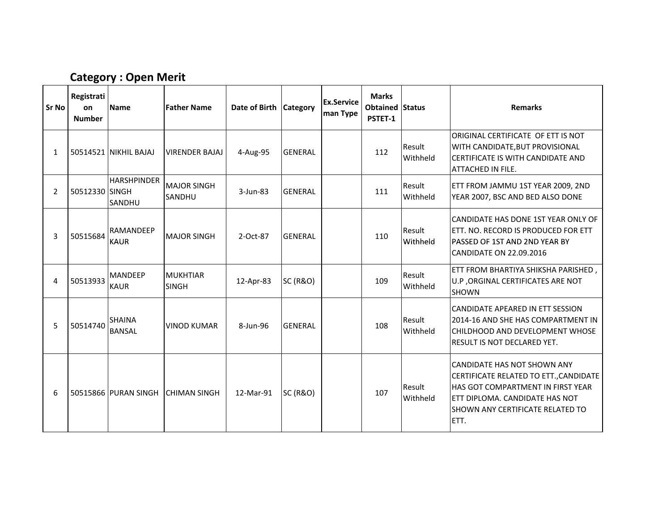# Category : Open Merit

| Sr No | Registrati<br>on<br><b>Number</b> | <b>Name</b>                         | <b>Father Name</b>              | Date of Birth Category |                     | <b>Ex.Service</b><br>man Type | <b>Marks</b><br><b>Obtained Status</b><br>PSTET-1 |                    | <b>Remarks</b>                                                                                                                                                                                    |
|-------|-----------------------------------|-------------------------------------|---------------------------------|------------------------|---------------------|-------------------------------|---------------------------------------------------|--------------------|---------------------------------------------------------------------------------------------------------------------------------------------------------------------------------------------------|
| 1     |                                   | 50514521 NIKHIL BAJAJ               | <b>VIRENDER BAJAJ</b>           | 4-Aug-95               | <b>GENERAL</b>      |                               | 112                                               | Result<br>Withheld | ORIGINAL CERTIFICATE OF ETT IS NOT<br>WITH CANDIDATE, BUT PROVISIONAL<br><b>ICERTIFICATE IS WITH CANDIDATE AND</b><br><b>ATTACHED IN FILE.</b>                                                    |
| 2     | 50512330 SINGH                    | <b>HARSHPINDER</b><br><b>SANDHU</b> | <b>MAJOR SINGH</b><br>SANDHU    | $3$ -Jun-83            | <b>GENERAL</b>      |                               | 111                                               | Result<br>Withheld | ETT FROM JAMMU 1ST YEAR 2009, 2ND<br>YEAR 2007, BSC AND BED ALSO DONE                                                                                                                             |
| 3     | 50515684                          | <b>RAMANDEEP</b><br><b>KAUR</b>     | <b>MAJOR SINGH</b>              | 2-Oct-87               | <b>GENERAL</b>      |                               | 110                                               | Result<br>Withheld | ICANDIDATE HAS DONE 1ST YEAR ONLY OF<br><b>IETT. NO. RECORD IS PRODUCED FOR ETT</b><br><b>IPASSED OF 1ST AND 2ND YEAR BY</b><br>CANDIDATE ON 22.09.2016                                           |
| 4     | 50513933                          | <b>MANDEEP</b><br><b>KAUR</b>       | <b>MUKHTIAR</b><br><b>SINGH</b> | 12-Apr-83              | <b>SC (R&amp;O)</b> |                               | 109                                               | Result<br>Withheld | ETT FROM BHARTIYA SHIKSHA PARISHED,<br>U.P , ORGINAL CERTIFICATES ARE NOT<br><b>SHOWN</b>                                                                                                         |
| 5     | 50514740                          | <b>SHAINA</b><br><b>BANSAL</b>      | <b>VINOD KUMAR</b>              | 8-Jun-96               | <b>GENERAL</b>      |                               | 108                                               | Result<br>Withheld | <b>ICANDIDATE APEARED IN ETT SESSION</b><br>2014-16 AND SHE HAS COMPARTMENT IN<br><b>ICHILDHOOD AND DEVELOPMENT WHOSE</b><br><b>RESULT IS NOT DECLARED YET.</b>                                   |
| 6     |                                   | 50515866 PURAN SINGH                | <b>CHIMAN SINGH</b>             | 12-Mar-91              | <b>SC (R&amp;O)</b> |                               | 107                                               | Result<br>Withheld | ICANDIDATE HAS NOT SHOWN ANY<br>CERTIFICATE RELATED TO ETT., CANDIDATE<br><b>HAS GOT COMPARTMENT IN FIRST YEAR</b><br>ETT DIPLOMA. CANDIDATE HAS NOT<br>ISHOWN ANY CERTIFICATE RELATED TO<br>ETT. |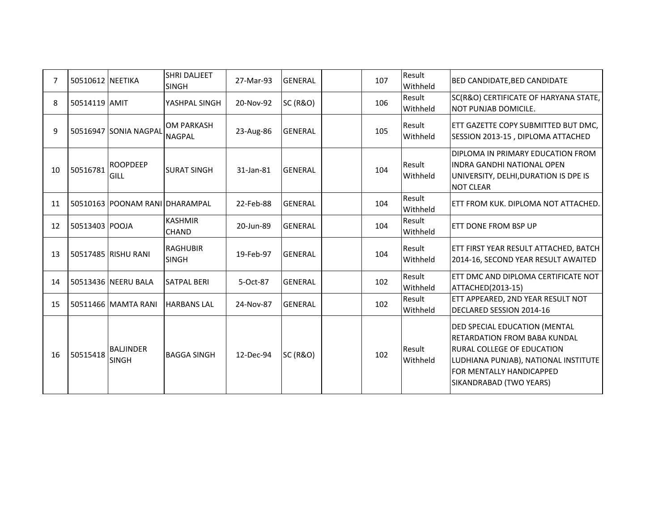| 7  | 50510612 NEETIKA |                                  | <b>SHRI DALJEET</b><br><b>SINGH</b> | 27-Mar-93 | <b>GENERAL</b>      | 107 | Result<br>Withheld | <b>BED CANDIDATE, BED CANDIDATE</b>                                                                                                                                                                              |
|----|------------------|----------------------------------|-------------------------------------|-----------|---------------------|-----|--------------------|------------------------------------------------------------------------------------------------------------------------------------------------------------------------------------------------------------------|
| 8  | 50514119 AMIT    |                                  | YASHPAL SINGH                       | 20-Nov-92 | <b>SC (R&amp;O)</b> | 106 | Result<br>Withheld | SC(R&O) CERTIFICATE OF HARYANA STATE,<br>NOT PUNJAB DOMICILE.                                                                                                                                                    |
| 9  |                  | 50516947 SONIA NAGPAL            | <b>OM PARKASH</b><br><b>NAGPAL</b>  | 23-Aug-86 | <b>GENERAL</b>      | 105 | Result<br>Withheld | ETT GAZETTE COPY SUBMITTED BUT DMC,<br>SESSION 2013-15, DIPLOMA ATTACHED                                                                                                                                         |
| 10 | 50516781         | <b>ROOPDEEP</b><br>GILL          | <b>SURAT SINGH</b>                  | 31-Jan-81 | <b>GENERAL</b>      | 104 | Result<br>Withheld | DIPLOMA IN PRIMARY EDUCATION FROM<br>IINDRA GANDHI NATIONAL OPEN<br>UNIVERSITY, DELHI, DURATION IS DPE IS<br><b>NOT CLEAR</b>                                                                                    |
| 11 |                  | 50510163 POONAM RANI DHARAMPAL   |                                     | 22-Feb-88 | <b>GENERAL</b>      | 104 | Result<br>Withheld | IETT FROM KUK. DIPLOMA NOT ATTACHED.                                                                                                                                                                             |
| 12 | 50513403 POOJA   |                                  | <b>KASHMIR</b><br>CHAND             | 20-Jun-89 | <b>GENERAL</b>      | 104 | Result<br>Withheld | <b>LETT DONE FROM BSP UP</b>                                                                                                                                                                                     |
| 13 |                  | 50517485 RISHU RANI              | <b>RAGHUBIR</b><br><b>SINGH</b>     | 19-Feb-97 | <b>GENERAL</b>      | 104 | Result<br>Withheld | ETT FIRST YEAR RESULT ATTACHED, BATCH<br>2014-16, SECOND YEAR RESULT AWAITED                                                                                                                                     |
| 14 |                  | 50513436 NEERU BALA              | <b>SATPAL BERI</b>                  | 5-Oct-87  | <b>GENERAL</b>      | 102 | Result<br>Withheld | ETT DMC AND DIPLOMA CERTIFICATE NOT<br>ATTACHED(2013-15)                                                                                                                                                         |
| 15 |                  | 50511466 MAMTA RANI              | <b>HARBANS LAL</b>                  | 24-Nov-87 | <b>GENERAL</b>      | 102 | Result<br>Withheld | ETT APPEARED, 2ND YEAR RESULT NOT<br>DECLARED SESSION 2014-16                                                                                                                                                    |
| 16 | 50515418         | <b>BALJINDER</b><br><b>SINGH</b> | <b>BAGGA SINGH</b>                  | 12-Dec-94 | <b>SC (R&amp;O)</b> | 102 | Result<br>Withheld | DED SPECIAL EDUCATION (MENTAL<br><b>IRETARDATION FROM BABA KUNDAL</b><br><b>RURAL COLLEGE OF EDUCATION</b><br>LUDHIANA PUNJAB), NATIONAL INSTITUTE<br><b>FOR MENTALLY HANDICAPPED</b><br>SIKANDRABAD (TWO YEARS) |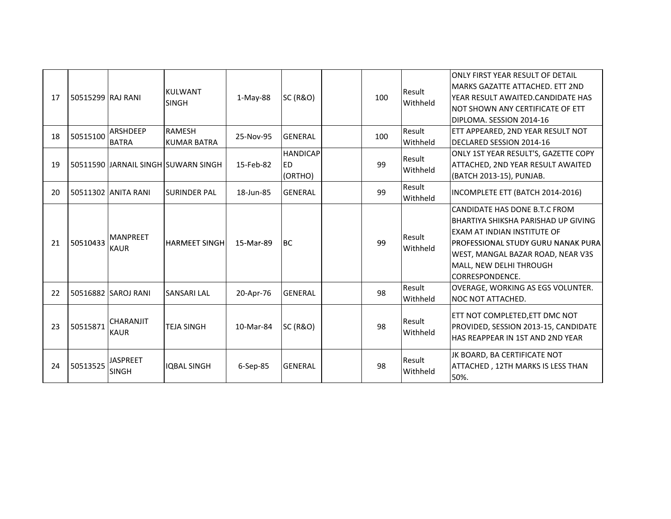| 17 | 50515299 RAJ RANI |                                 | <b>KULWANT</b><br><b>SINGH</b>       | $1-May-88$ | <b>SC (R&amp;O)</b>                     | 100 | Result<br>Withheld | IONLY FIRST YEAR RESULT OF DETAIL<br>MARKS GAZATTE ATTACHED. ETT 2ND<br>IYEAR RESULT AWAITED.CANDIDATE HAS<br>INOT SHOWN ANY CERTIFICATE OF ETT<br>DIPLOMA. SESSION 2014-16                                                            |
|----|-------------------|---------------------------------|--------------------------------------|------------|-----------------------------------------|-----|--------------------|----------------------------------------------------------------------------------------------------------------------------------------------------------------------------------------------------------------------------------------|
| 18 | 50515100          | ARSHDEEP<br><b>BATRA</b>        | <b>RAMESH</b><br><b>KUMAR BATRA</b>  | 25-Nov-95  | <b>GENERAL</b>                          | 100 | Result<br>Withheld | ETT APPEARED, 2ND YEAR RESULT NOT<br><b>IDECLARED SESSION 2014-16</b>                                                                                                                                                                  |
| 19 |                   |                                 | 50511590 JJARNAIL SINGH SUWARN SINGH | 15-Feb-82  | <b>HANDICAP</b><br><b>ED</b><br>(ORTHO) | 99  | Result<br>Withheld | ONLY 1ST YEAR RESULT'S, GAZETTE COPY<br><b>ATTACHED, 2ND YEAR RESULT AWAITED</b><br>(BATCH 2013-15), PUNJAB.                                                                                                                           |
| 20 |                   | 50511302 JANITA RANI            | <b>SURINDER PAL</b>                  | 18-Jun-85  | <b>GENERAL</b>                          | 99  | Result<br>Withheld | INCOMPLETE ETT (BATCH 2014-2016)                                                                                                                                                                                                       |
| 21 | 50510433          | <b>MANPREET</b><br><b>KAUR</b>  | <b>HARMEET SINGH</b>                 | 15-Mar-89  | <b>BC</b>                               | 99  | Result<br>Withheld | CANDIDATE HAS DONE B.T.C FROM<br>BHARTIYA SHIKSHA PARISHAD UP GIVING<br>IEXAM AT INDIAN INSTITUTE OF<br><b>IPROFESSIONAL STUDY GURU NANAK PURA</b><br>WEST, MANGAL BAZAR ROAD, NEAR V3S<br>MALL, NEW DELHI THROUGH<br>ICORRESPONDENCE. |
| 22 |                   | 50516882 SAROJ RANI             | <b>SANSARI LAL</b>                   | 20-Apr-76  | <b>GENERAL</b>                          | 98  | Result<br>Withheld | OVERAGE, WORKING AS EGS VOLUNTER.<br><b>NOC NOT ATTACHED.</b>                                                                                                                                                                          |
| 23 | 50515871          | <b>CHARANJIT</b><br><b>KAUR</b> | <b>TEJA SINGH</b>                    | 10-Mar-84  | <b>SC (R&amp;O)</b>                     | 98  | Result<br>Withheld | ETT NOT COMPLETED,ETT DMC NOT<br>PROVIDED, SESSION 2013-15, CANDIDATE<br><b>HAS REAPPEAR IN 1ST AND 2ND YEAR</b>                                                                                                                       |
| 24 | 50513525          | <b>JASPREET</b><br><b>SINGH</b> | <b>IOBAL SINGH</b>                   | 6-Sep-85   | <b>GENERAL</b>                          | 98  | Result<br>Withheld | JK BOARD, BA CERTIFICATE NOT<br>ATTACHED, 12TH MARKS IS LESS THAN<br>50%.                                                                                                                                                              |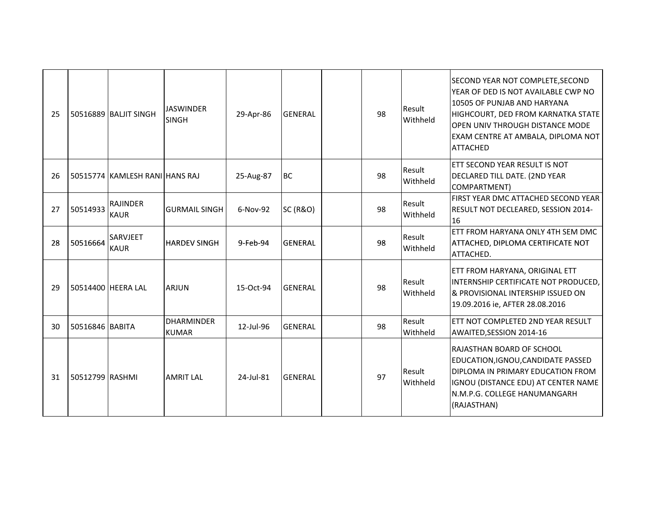| 25 |                 | 50516889 BALJIT SINGH          | <b>JASWINDER</b><br><b>SINGH</b>  | 29-Apr-86 | <b>GENERAL</b>      | 98 | Result<br>Withheld | SECOND YEAR NOT COMPLETE, SECOND<br>YEAR OF DED IS NOT AVAILABLE CWP NO<br>10505 OF PUNJAB AND HARYANA<br>HIGHCOURT, DED FROM KARNATKA STATE<br>OPEN UNIV THROUGH DISTANCE MODE<br>EXAM CENTRE AT AMBALA, DIPLOMA NOT<br><b>ATTACHED</b> |
|----|-----------------|--------------------------------|-----------------------------------|-----------|---------------------|----|--------------------|------------------------------------------------------------------------------------------------------------------------------------------------------------------------------------------------------------------------------------------|
| 26 |                 | 50515774 KAMLESH RANI HANS RAJ |                                   | 25-Aug-87 | <b>BC</b>           | 98 | Result<br>Withheld | ETT SECOND YEAR RESULT IS NOT<br>DECLARED TILL DATE. (2ND YEAR<br>COMPARTMENT)                                                                                                                                                           |
| 27 | 50514933        | <b>RAJINDER</b><br><b>KAUR</b> | <b>GURMAIL SINGH</b>              | 6-Nov-92  | <b>SC (R&amp;O)</b> | 98 | Result<br>Withheld | FIRST YEAR DMC ATTACHED SECOND YEAR<br>RESULT NOT DECLEARED, SESSION 2014-<br>16                                                                                                                                                         |
| 28 | 50516664        | SARVJEET<br><b>KAUR</b>        | <b>HARDEV SINGH</b>               | 9-Feb-94  | <b>IGENERAL</b>     | 98 | Result<br>Withheld | ETT FROM HARYANA ONLY 4TH SEM DMC<br>ATTACHED, DIPLOMA CERTIFICATE NOT<br>ATTACHED.                                                                                                                                                      |
| 29 |                 | 50514400 HEERA LAL             | <b>ARJUN</b>                      | 15-Oct-94 | <b>GENERAL</b>      | 98 | Result<br>Withheld | ETT FROM HARYANA, ORIGINAL ETT<br>INTERNSHIP CERTIFICATE NOT PRODUCED,<br>& PROVISIONAL INTERSHIP ISSUED ON<br>19.09.2016 ie, AFTER 28.08.2016                                                                                           |
| 30 | 50516846 BABITA |                                | <b>DHARMINDER</b><br><b>KUMAR</b> | 12-Jul-96 | <b>GENERAL</b>      | 98 | Result<br>Withheld | ETT NOT COMPLETED 2ND YEAR RESULT<br>AWAITED, SESSION 2014-16                                                                                                                                                                            |
| 31 | 50512799 RASHMI |                                | <b>AMRIT LAL</b>                  | 24-Jul-81 | <b>GENERAL</b>      | 97 | Result<br>Withheld | RAJASTHAN BOARD OF SCHOOL<br>EDUCATION, IGNOU, CANDIDATE PASSED<br>DIPLOMA IN PRIMARY EDUCATION FROM<br>IGNOU (DISTANCE EDU) AT CENTER NAME<br>N.M.P.G. COLLEGE HANUMANGARH<br>(RAJASTHAN)                                               |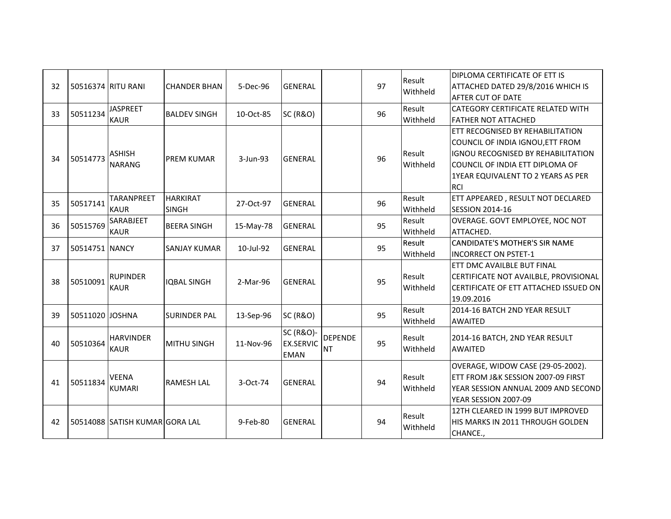| 32 | 50516374 RITU RANI |                                  | <b>CHANDER BHAN</b>             | 5-Dec-96    | <b>GENERAL</b>                                          |                             | 97 | Result<br>Withheld | DIPLOMA CERTIFICATE OF ETT IS<br>ATTACHED DATED 29/8/2016 WHICH IS<br>AFTER CUT OF DATE                                                                                                                  |
|----|--------------------|----------------------------------|---------------------------------|-------------|---------------------------------------------------------|-----------------------------|----|--------------------|----------------------------------------------------------------------------------------------------------------------------------------------------------------------------------------------------------|
| 33 | 50511234           | <b>JASPREET</b><br><b>KAUR</b>   | <b>BALDEV SINGH</b>             | 10-Oct-85   | <b>SC (R&amp;O)</b>                                     |                             | 96 | Result<br>Withheld | CATEGORY CERTIFICATE RELATED WITH<br><b>FATHER NOT ATTACHED</b>                                                                                                                                          |
| 34 | 50514773           | <b>ASHISH</b><br><b>NARANG</b>   | <b>PREM KUMAR</b>               | $3$ -Jun-93 | <b>GENERAL</b>                                          |                             | 96 | Result<br>Withheld | ETT RECOGNISED BY REHABILITATION<br>COUNCIL OF INDIA IGNOU, ETT FROM<br><b>IGNOU RECOGNISED BY REHABILITATION</b><br>COUNCIL OF INDIA ETT DIPLOMA OF<br>1YEAR EQUIVALENT TO 2 YEARS AS PER<br><b>RCI</b> |
| 35 | 50517141           | <b>TARANPREET</b><br><b>KAUR</b> | <b>HARKIRAT</b><br><b>SINGH</b> | 27-Oct-97   | <b>GENERAL</b>                                          |                             | 96 | Result<br>Withheld | ETT APPEARED, RESULT NOT DECLARED<br><b>SESSION 2014-16</b>                                                                                                                                              |
| 36 | 50515769           | <b>SARABJEET</b><br><b>KAUR</b>  | <b>BEERA SINGH</b>              | 15-May-78   | <b>GENERAL</b>                                          |                             | 95 | Result<br>Withheld | OVERAGE. GOVT EMPLOYEE, NOC NOT<br>ATTACHED.                                                                                                                                                             |
| 37 | 50514751 NANCY     |                                  | <b>SANJAY KUMAR</b>             | 10-Jul-92   | <b>GENERAL</b>                                          |                             | 95 | Result<br>Withheld | CANDIDATE'S MOTHER'S SIR NAME<br><b>INCORRECT ON PSTET-1</b>                                                                                                                                             |
| 38 | 50510091           | <b>RUPINDER</b><br><b>KAUR</b>   | <b>IQBAL SINGH</b>              | 2-Mar-96    | <b>GENERAL</b>                                          |                             | 95 | Result<br>Withheld | ETT DMC AVAILBLE BUT FINAL<br>CERTIFICATE NOT AVAILBLE, PROVISIONAL<br>CERTIFICATE OF ETT ATTACHED ISSUED ON<br>19.09.2016                                                                               |
| 39 | 50511020 JOSHNA    |                                  | <b>SURINDER PAL</b>             | 13-Sep-96   | <b>SC (R&amp;O)</b>                                     |                             | 95 | Result<br>Withheld | 2014-16 BATCH 2ND YEAR RESULT<br><b>AWAITED</b>                                                                                                                                                          |
| 40 | 50510364           | <b>HARVINDER</b><br><b>KAUR</b>  | <b>MITHU SINGH</b>              | 11-Nov-96   | <b>SC (R&amp;O)-</b><br><b>EX.SERVIC</b><br><b>EMAN</b> | <b>DEPENDE</b><br><b>NT</b> | 95 | Result<br>Withheld | 2014-16 BATCH, 2ND YEAR RESULT<br><b>AWAITED</b>                                                                                                                                                         |
| 41 | 50511834           | <b>VEENA</b><br><b>KUMARI</b>    | <b>RAMESH LAL</b>               | 3-Oct-74    | <b>GENERAL</b>                                          |                             | 94 | Result<br>Withheld | OVERAGE, WIDOW CASE (29-05-2002).<br>ETT FROM J&K SESSION 2007-09 FIRST<br>YEAR SESSION ANNUAL 2009 AND SECOND<br>YEAR SESSION 2007-09                                                                   |
| 42 |                    | 50514088 SATISH KUMAR GORA LAL   |                                 | 9-Feb-80    | <b>GENERAL</b>                                          |                             | 94 | Result<br>Withheld | 12TH CLEARED IN 1999 BUT IMPROVED<br>HIS MARKS IN 2011 THROUGH GOLDEN<br>CHANCE.,                                                                                                                        |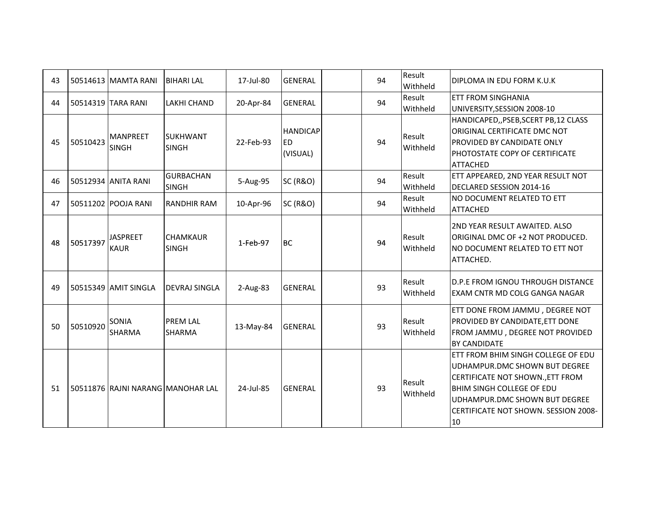| 43 |          | 50514613 MAMTA RANI             | <b>BIHARI LAL</b>                 | 17-Jul-80  | <b>GENERAL</b>                           | 94 | Result<br>Withheld | DIPLOMA IN EDU FORM K.U.K                                                                                                                                                                                                  |
|----|----------|---------------------------------|-----------------------------------|------------|------------------------------------------|----|--------------------|----------------------------------------------------------------------------------------------------------------------------------------------------------------------------------------------------------------------------|
| 44 |          | 50514319 TARA RANI              | <b>LAKHI CHAND</b>                | 20-Apr-84  | <b>GENERAL</b>                           | 94 | Result<br>Withheld | <b>ETT FROM SINGHANIA</b><br>UNIVERSITY, SESSION 2008-10                                                                                                                                                                   |
| 45 | 50510423 | <b>MANPREET</b><br><b>SINGH</b> | <b>SUKHWANT</b><br><b>SINGH</b>   | 22-Feb-93  | <b>HANDICAP</b><br><b>ED</b><br>(VISUAL) | 94 | Result<br>Withheld | HANDICAPED,, PSEB, SCERT PB, 12 CLASS<br>ORIGINAL CERTIFICATE DMC NOT<br>PROVIDED BY CANDIDATE ONLY<br>PHOTOSTATE COPY OF CERTIFICATE<br><b>ATTACHED</b>                                                                   |
| 46 |          | 50512934 ANITA RANI             | <b>GURBACHAN</b><br><b>SINGH</b>  | 5-Aug-95   | <b>SC (R&amp;O)</b>                      | 94 | Result<br>Withheld | ETT APPEARED, 2ND YEAR RESULT NOT<br>DECLARED SESSION 2014-16                                                                                                                                                              |
| 47 |          | 50511202 POOJA RANI             | <b>RANDHIR RAM</b>                | 10-Apr-96  | <b>SC (R&amp;O)</b>                      | 94 | Result<br>Withheld | NO DOCUMENT RELATED TO ETT<br><b>ATTACHED</b>                                                                                                                                                                              |
| 48 | 50517397 | <b>JASPREET</b><br><b>KAUR</b>  | <b>CHAMKAUR</b><br><b>SINGH</b>   | 1-Feb-97   | <b>IBC</b>                               | 94 | Result<br>Withheld | 2ND YEAR RESULT AWAITED. ALSO<br>ORIGINAL DMC OF +2 NOT PRODUCED.<br>NO DOCUMENT RELATED TO ETT NOT<br>ATTACHED.                                                                                                           |
| 49 |          | 50515349 AMIT SINGLA            | <b>DEVRAJ SINGLA</b>              | $2-Aug-83$ | <b>GENERAL</b>                           | 93 | Result<br>Withheld | <b>I</b> D.P.E FROM IGNOU THROUGH DISTANCE<br><b>EXAM CNTR MD COLG GANGA NAGAR</b>                                                                                                                                         |
| 50 | 50510920 | <b>SONIA</b><br>SHARMA          | <b>PREM LAL</b><br><b>SHARMA</b>  | 13-May-84  | <b>GENERAL</b>                           | 93 | Result<br>Withheld | ETT DONE FROM JAMMU, DEGREE NOT<br>PROVIDED BY CANDIDATE, ETT DONE<br>FROM JAMMU, DEGREE NOT PROVIDED<br><b>BY CANDIDATE</b>                                                                                               |
| 51 |          |                                 | 50511876 RAJNI NARANG MANOHAR LAL | 24-Jul-85  | <b>GENERAL</b>                           | 93 | Result<br>Withheld | ETT FROM BHIM SINGH COLLEGE OF EDU<br>UDHAMPUR.DMC SHOWN BUT DEGREE<br>CERTIFICATE NOT SHOWN., ETT FROM<br><b>BHIM SINGH COLLEGE OF EDU</b><br>UDHAMPUR.DMC SHOWN BUT DEGREE<br>CERTIFICATE NOT SHOWN. SESSION 2008-<br>10 |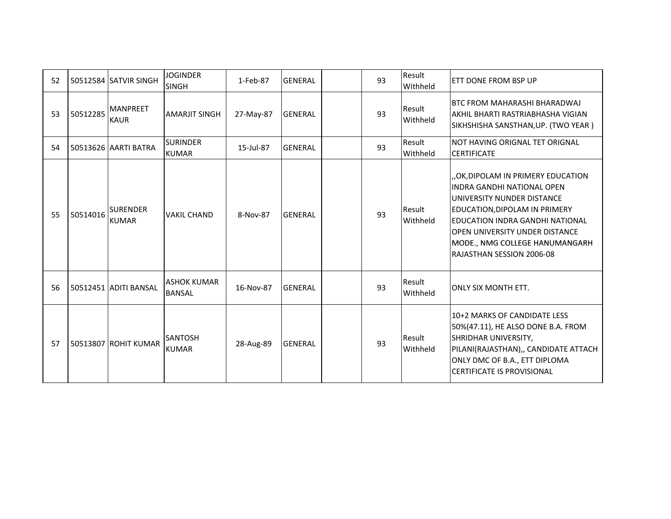| 52 |          | l 50512584 ISATVIR SINGH        | <b>JOGINDER</b><br><b>SINGH</b>     | 1-Feb-87  | <b>GENERAL</b> | 93 | Result<br>Withheld | ETT DONE FROM BSP UP                                                                                                                                                                                                                                                     |
|----|----------|---------------------------------|-------------------------------------|-----------|----------------|----|--------------------|--------------------------------------------------------------------------------------------------------------------------------------------------------------------------------------------------------------------------------------------------------------------------|
| 53 | 50512285 | <b>MANPREET</b><br><b>KAUR</b>  | <b>AMARJIT SINGH</b>                | 27-May-87 | <b>GENERAL</b> | 93 | Result<br>Withheld | BTC FROM MAHARASHI BHARADWAJ<br>AKHIL BHARTI RASTRIABHASHA VIGIAN<br>SIKHSHISHA SANSTHAN, UP. (TWO YEAR)                                                                                                                                                                 |
| 54 |          | l 50513626   AARTI BATRA        | <b>SURINDER</b><br><b>KUMAR</b>     | 15-Jul-87 | <b>GENERAL</b> | 93 | Result<br>Withheld | NOT HAVING ORIGNAL TET ORIGNAL<br><b>CERTIFICATE</b>                                                                                                                                                                                                                     |
| 55 | 50514016 | <b>SURENDER</b><br><b>KUMAR</b> | <b>VAKIL CHAND</b>                  | 8-Nov-87  | <b>GENERAL</b> | 93 | Result<br>Withheld | OK,DIPOLAM IN PRIMERY EDUCATION,<br>INDRA GANDHI NATIONAL OPEN<br>UNIVERSITY NUNDER DISTANCE<br><b>EDUCATION, DIPOLAM IN PRIMERY</b><br>EDUCATION INDRA GANDHI NATIONAL<br>OPEN UNIVERSITY UNDER DISTANCE<br>MODE., NMG COLLEGE HANUMANGARH<br>RAJASTHAN SESSION 2006-08 |
| 56 |          | 50512451 ADITI BANSAL           | <b>ASHOK KUMAR</b><br><b>BANSAL</b> | 16-Nov-87 | <b>GENERAL</b> | 93 | Result<br>Withheld | <b>JONLY SIX MONTH ETT.</b>                                                                                                                                                                                                                                              |
| 57 |          | 50513807 ROHIT KUMAR            | <b>SANTOSH</b><br><b>KUMAR</b>      | 28-Aug-89 | <b>GENERAL</b> | 93 | Result<br>Withheld | 10+2 MARKS OF CANDIDATE LESS<br>50%(47.11), HE ALSO DONE B.A. FROM<br>SHRIDHAR UNIVERSITY,<br>PILANI(RAJASTHAN),, CANDIDATE ATTACH<br>ONLY DMC OF B.A., ETT DIPLOMA<br><b>CERTIFICATE IS PROVISIONAL</b>                                                                 |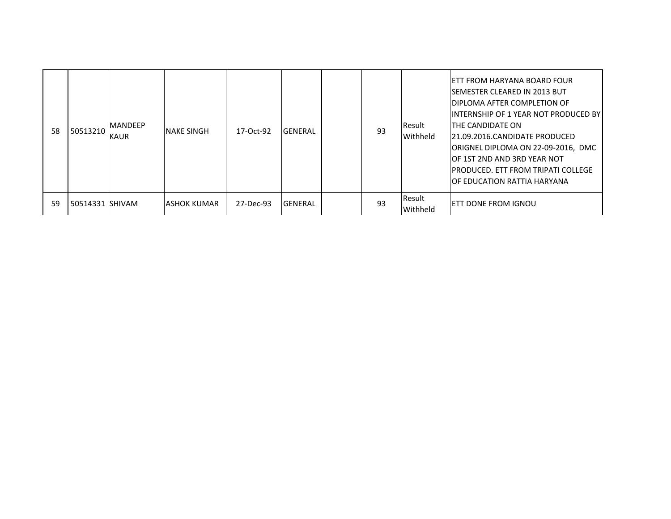| 58 | 50513210           | <b>IMANDEEP</b><br><b>KAUR</b> | <b>NAKE SINGH</b> | 17-Oct-92 | <b>IGENERAL</b> | 93 | <b>I</b> Result<br><b>Withheld</b> | IETT FROM HARYANA BOARD FOUR<br>ISEMESTER CLEARED IN 2013 BUT<br>IDIPLOMA AFTER COMPLETION OF<br>IINTERNSHIP OF 1 YEAR NOT PRODUCED BY <br>ITHE CANDIDATE ON<br>121.09.2016.CANDIDATE PRODUCED<br>ORIGNEL DIPLOMA ON 22-09-2016, DMC<br><b>IOF 1ST 2ND AND 3RD YEAR NOT</b><br>IPRODUCED. ETT FROM TRIPATI COLLEGE<br><b>OF EDUCATION RATTIA HARYANA</b> |
|----|--------------------|--------------------------------|-------------------|-----------|-----------------|----|------------------------------------|----------------------------------------------------------------------------------------------------------------------------------------------------------------------------------------------------------------------------------------------------------------------------------------------------------------------------------------------------------|
| 59 | l 50514331 ISHIVAM |                                | IASHOK KUMAR      | 27-Dec-93 | <b>IGENERAL</b> | 93 | Result<br>Withheld                 | IETT DONE FROM IGNOU                                                                                                                                                                                                                                                                                                                                     |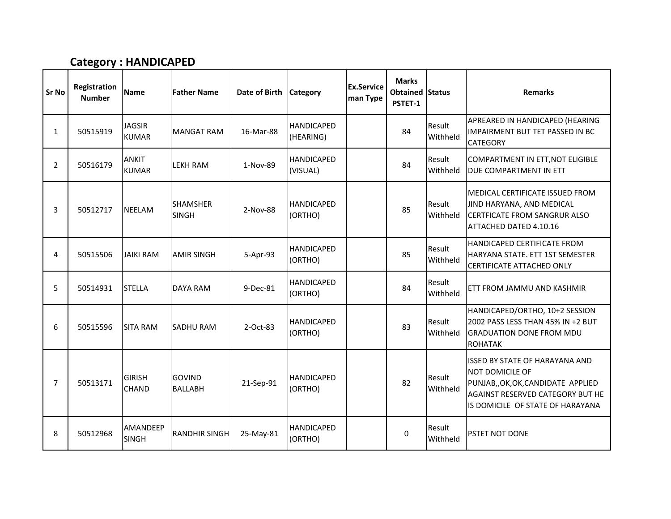#### Category : HANDICAPED

| <b>Sr No</b>   | Registration<br><b>Number</b> | <b>Name</b>                     | <b>Father Name</b>              | Date of Birth | <b>Category</b>                | <b>Ex.Service</b><br>man Type | <b>Marks</b><br><b>Obtained Status</b><br>PSTET-1 |                    | <b>Remarks</b>                                                                                                                                                         |
|----------------|-------------------------------|---------------------------------|---------------------------------|---------------|--------------------------------|-------------------------------|---------------------------------------------------|--------------------|------------------------------------------------------------------------------------------------------------------------------------------------------------------------|
| $\mathbf{1}$   | 50515919                      | <b>JAGSIR</b><br><b>KUMAR</b>   | <b>MANGAT RAM</b>               | 16-Mar-88     | <b>HANDICAPED</b><br>(HEARING) |                               | 84                                                | Result<br>Withheld | APREARED IN HANDICAPED (HEARING<br>IMPAIRMENT BUT TET PASSED IN BC<br><b>CATEGORY</b>                                                                                  |
| $\overline{2}$ | 50516179                      | <b>ANKIT</b><br><b>KUMAR</b>    | <b>LEKH RAM</b>                 | 1-Nov-89      | <b>HANDICAPED</b><br>(VISUAL)  |                               | 84                                                | Result<br>Withheld | COMPARTMENT IN ETT, NOT ELIGIBLE<br>DUE COMPARTMENT IN ETT                                                                                                             |
| 3              | 50512717                      | <b>NEELAM</b>                   | <b>SHAMSHER</b><br><b>SINGH</b> | 2-Nov-88      | <b>HANDICAPED</b><br>(ORTHO)   |                               | 85                                                | Result<br>Withheld | <b>MEDICAL CERTIFICATE ISSUED FROM</b><br>JIND HARYANA, AND MEDICAL<br>CERTFICATE FROM SANGRUR ALSO<br>ATTACHED DATED 4.10.16                                          |
| 4              | 50515506                      | <b>JAIKI RAM</b>                | <b>AMIR SINGH</b>               | 5-Apr-93      | <b>HANDICAPED</b><br>(ORTHO)   |                               | 85                                                | Result<br>Withheld | HANDICAPED CERTIFICATE FROM<br>HARYANA STATE. ETT 1ST SEMESTER<br>CERTIFICATE ATTACHED ONLY                                                                            |
| 5              | 50514931                      | <b>STELLA</b>                   | <b>DAYA RAM</b>                 | 9-Dec-81      | <b>HANDICAPED</b><br>(ORTHO)   |                               | 84                                                | Result<br>Withheld | ETT FROM JAMMU AND KASHMIR                                                                                                                                             |
| 6              | 50515596                      | <b>SITA RAM</b>                 | <b>SADHU RAM</b>                | 2-Oct-83      | <b>HANDICAPED</b><br>(ORTHO)   |                               | 83                                                | Result<br>Withheld | HANDICAPED/ORTHO, 10+2 SESSION<br>2002 PASS LESS THAN 45% IN +2 BUT<br><b>GRADUATION DONE FROM MDU</b><br><b>ROHATAK</b>                                               |
| $\overline{7}$ | 50513171                      | <b>GIRISH</b><br><b>CHAND</b>   | <b>GOVIND</b><br><b>BALLABH</b> | 21-Sep-91     | <b>HANDICAPED</b><br>(ORTHO)   |                               | 82                                                | Result<br>Withheld | <b>ISSED BY STATE OF HARAYANA AND</b><br>NOT DOMICILE OF<br>PUNJAB,, OK, OK, CANDIDATE APPLIED<br>AGAINST RESERVED CATEGORY BUT HE<br>IS DOMICILE OF STATE OF HARAYANA |
| 8              | 50512968                      | <b>AMANDEEP</b><br><b>SINGH</b> | <b>RANDHIR SINGH</b>            | 25-May-81     | <b>HANDICAPED</b><br>(ORTHO)   |                               | $\Omega$                                          | Result<br>Withheld | PSTET NOT DONE                                                                                                                                                         |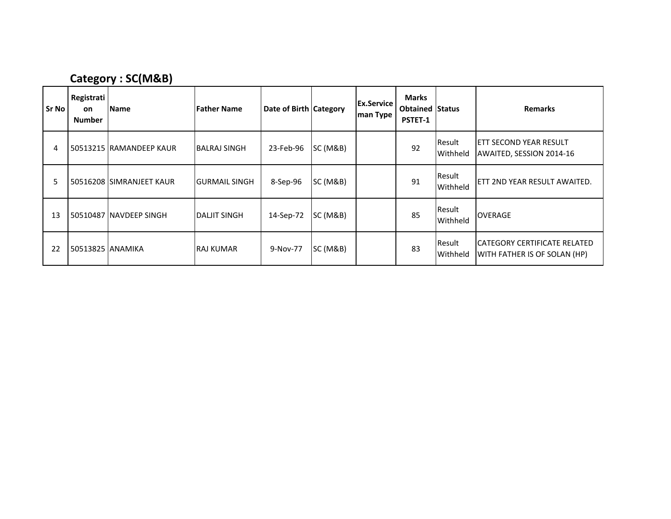#### Category : SC(M&B)

| <b>Sr No</b> | Registrati<br>on<br><b>Number</b> | <b>Name</b>              | <b>Father Name</b>  | Date of Birth Category |                     | <b>Ex.Service</b><br>man Type | <b>Marks</b><br><b>Obtained Status</b><br><b>PSTET-1</b> |                    | <b>Remarks</b>                                                             |
|--------------|-----------------------------------|--------------------------|---------------------|------------------------|---------------------|-------------------------------|----------------------------------------------------------|--------------------|----------------------------------------------------------------------------|
| 4            |                                   | 50513215 RAMANDEEP KAUR  | IBALRAJ SINGH       | 23-Feb-96              | SC(M&B)             |                               | 92                                                       | Result<br>Withheld | <b>ETT SECOND YEAR RESULT</b><br>AWAITED, SESSION 2014-16                  |
| 5            |                                   | 50516208 SIMRANJEET KAUR | IGURMAIL SINGH      | 8-Sep-96               | <b>SC (M&amp;B)</b> |                               | 91                                                       | Result<br>Withheld | ETT 2ND YEAR RESULT AWAITED.                                               |
| 13           |                                   | 50510487 NAVDEEP SINGH   | <b>DALJIT SINGH</b> | 14-Sep-72              | SC(M&B)             |                               | 85                                                       | Result<br>Withheld | <b>OVERAGE</b>                                                             |
| 22           | 50513825 ANAMIKA                  |                          | <b>RAJ KUMAR</b>    | 9-Nov-77               | <b>SC (M&amp;B)</b> |                               | 83                                                       | Result<br>Withheld | <b>CATEGORY CERTIFICATE RELATED</b><br><b>WITH FATHER IS OF SOLAN (HP)</b> |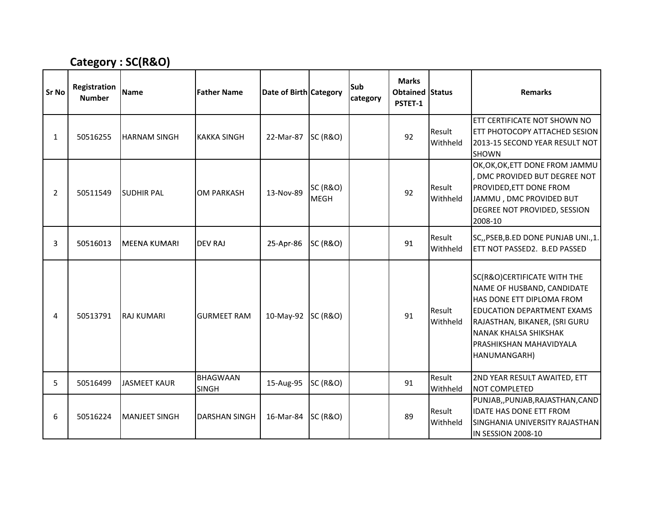### Category : SC(R&O)

| <b>Sr No</b>   | Registration<br><b>Number</b> | <b>Name</b>          | <b>Father Name</b>              | Date of Birth Category |                                    | Sub<br>category | <b>Marks</b><br><b>Obtained Status</b><br>PSTET-1 |                    | <b>Remarks</b>                                                                                                                                                                                                                                 |
|----------------|-------------------------------|----------------------|---------------------------------|------------------------|------------------------------------|-----------------|---------------------------------------------------|--------------------|------------------------------------------------------------------------------------------------------------------------------------------------------------------------------------------------------------------------------------------------|
| $\mathbf{1}$   | 50516255                      | <b>HARNAM SINGH</b>  | <b>KAKKA SINGH</b>              | 22-Mar-87 SC (R&O)     |                                    |                 | 92                                                | Result<br>Withheld | ETT CERTIFICATE NOT SHOWN NO<br>ETT PHOTOCOPY ATTACHED SESION<br>2013-15 SECOND YEAR RESULT NOT<br><b>SHOWN</b>                                                                                                                                |
| $\overline{2}$ | 50511549                      | <b>SUDHIR PAL</b>    | <b>OM PARKASH</b>               | 13-Nov-89              | <b>SC (R&amp;O)</b><br><b>MEGH</b> |                 | 92                                                | Result<br>Withheld | OK, OK, OK, ETT DONE FROM JAMMU<br>DMC PROVIDED BUT DEGREE NOT<br>PROVIDED, ETT DONE FROM<br>JAMMU, DMC PROVIDED BUT<br>DEGREE NOT PROVIDED, SESSION<br>2008-10                                                                                |
| 3              | 50516013                      | <b>MEENA KUMARI</b>  | <b>DEV RAJ</b>                  | 25-Apr-86              | <b>SC (R&amp;O)</b>                |                 | 91                                                | Result<br>Withheld | SC,, PSEB, B.ED DONE PUNJAB UNI., 1.<br>ETT NOT PASSED2. B.ED PASSED                                                                                                                                                                           |
| 4              | 50513791                      | <b>RAJ KUMARI</b>    | <b>GURMEET RAM</b>              | 10-May-92              | <b>SC (R&amp;O)</b>                |                 | 91                                                | Result<br>Withheld | SC(R&O)CERTIFICATE WITH THE<br>NAME OF HUSBAND, CANDIDATE<br>HAS DONE ETT DIPLOMA FROM<br><b>EDUCATION DEPARTMENT EXAMS</b><br>RAJASTHAN, BIKANER, (SRI GURU<br><b>NANAK KHALSA SHIKSHAK</b><br><b>PRASHIKSHAN MAHAVIDYALA</b><br>HANUMANGARH) |
| 5              | 50516499                      | <b>JASMEET KAUR</b>  | <b>BHAGWAAN</b><br><b>SINGH</b> | 15-Aug-95              | <b>SC (R&amp;O)</b>                |                 | 91                                                | Result<br>Withheld | 2ND YEAR RESULT AWAITED, ETT<br>NOT COMPLETED                                                                                                                                                                                                  |
| 6              | 50516224                      | <b>MANJEET SINGH</b> | <b>DARSHAN SINGH</b>            | 16-Mar-84              | SC(R&O)                            |                 | 89                                                | Result<br>Withheld | PUNJAB,, PUNJAB, RAJASTHAN, CAND<br><b>IDATE HAS DONE ETT FROM</b><br>SINGHANIA UNIVERSITY RAJASTHAN<br>IN SESSION 2008-10                                                                                                                     |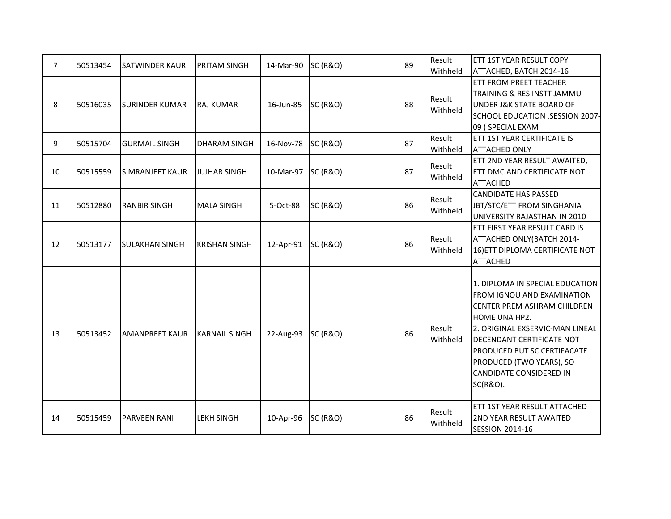| 7  | 50513454 | <b>SATWINDER KAUR</b>  | <b>PRITAM SINGH</b>   | 14-Mar-90 | <b>SC (R&amp;O)</b> | 89 | Result             | ETT 1ST YEAR RESULT COPY                                                                                                                                                                                                                                                        |
|----|----------|------------------------|-----------------------|-----------|---------------------|----|--------------------|---------------------------------------------------------------------------------------------------------------------------------------------------------------------------------------------------------------------------------------------------------------------------------|
|    |          |                        |                       |           |                     |    | Withheld           | ATTACHED, BATCH 2014-16<br>ETT FROM PREET TEACHER                                                                                                                                                                                                                               |
|    |          |                        |                       |           |                     |    |                    | TRAINING & RES INSTT JAMMU                                                                                                                                                                                                                                                      |
| 8  | 50516035 | <b>SURINDER KUMAR</b>  | <b>RAJ KUMAR</b>      | 16-Jun-85 | <b>SC (R&amp;O)</b> | 88 | Result             | <b>UNDER J&amp;K STATE BOARD OF</b>                                                                                                                                                                                                                                             |
|    |          |                        |                       |           |                     |    | Withheld           | SCHOOL EDUCATION .SESSION 2007-                                                                                                                                                                                                                                                 |
|    |          |                        |                       |           |                     |    |                    | 09 (SPECIAL EXAM                                                                                                                                                                                                                                                                |
|    |          |                        |                       |           |                     |    | Result             | ETT 1ST YEAR CERTIFICATE IS                                                                                                                                                                                                                                                     |
| 9  | 50515704 | <b>GURMAIL SINGH</b>   | <b>DHARAM SINGH</b>   | 16-Nov-78 | <b>SC (R&amp;O)</b> | 87 | Withheld           | <b>ATTACHED ONLY</b>                                                                                                                                                                                                                                                            |
|    |          |                        |                       |           |                     |    |                    | ETT 2ND YEAR RESULT AWAITED,                                                                                                                                                                                                                                                    |
| 10 | 50515559 | <b>SIMRANJEET KAUR</b> | <b>JUJHAR SINGH</b>   | 10-Mar-97 | <b>SC (R&amp;O)</b> | 87 | Result             | ETT DMC AND CERTIFICATE NOT                                                                                                                                                                                                                                                     |
|    |          |                        |                       |           |                     |    | Withheld           | <b>ATTACHED</b>                                                                                                                                                                                                                                                                 |
|    |          |                        |                       |           |                     |    |                    | <b>CANDIDATE HAS PASSED</b>                                                                                                                                                                                                                                                     |
| 11 | 50512880 | <b>RANBIR SINGH</b>    | <b>MALA SINGH</b>     | 5-Oct-88  | <b>SC (R&amp;O)</b> | 86 | Result             | JBT/STC/ETT FROM SINGHANIA                                                                                                                                                                                                                                                      |
|    |          |                        |                       |           |                     |    | Withheld           | UNIVERSITY RAJASTHAN IN 2010                                                                                                                                                                                                                                                    |
|    |          |                        |                       |           |                     |    |                    | ETT FIRST YEAR RESULT CARD IS                                                                                                                                                                                                                                                   |
|    |          |                        |                       |           |                     |    | Result             | ATTACHED ONLY (BATCH 2014-                                                                                                                                                                                                                                                      |
| 12 | 50513177 | <b>SULAKHAN SINGH</b>  | <b>IKRISHAN SINGH</b> | 12-Apr-91 | SC (R&O)            | 86 | Withheld           | 16) ETT DIPLOMA CERTIFICATE NOT                                                                                                                                                                                                                                                 |
|    |          |                        |                       |           |                     |    |                    | <b>ATTACHED</b>                                                                                                                                                                                                                                                                 |
| 13 | 50513452 | <b>AMANPREET KAUR</b>  | <b>KARNAIL SINGH</b>  | 22-Aug-93 | <b>SC (R&amp;O)</b> | 86 | Result<br>Withheld | 1. DIPLOMA IN SPECIAL EDUCATION<br>FROM IGNOU AND EXAMINATION<br>CENTER PREM ASHRAM CHILDREN<br>HOME UNA HP2.<br>2. ORIGINAL EXSERVIC-MAN LINEAL<br>DECENDANT CERTIFICATE NOT<br>PRODUCED BUT SC CERTIFACATE<br>PRODUCED (TWO YEARS), SO<br>CANDIDATE CONSIDERED IN<br>SC(R&O). |
| 14 | 50515459 | <b>PARVEEN RANI</b>    | <b>LEKH SINGH</b>     | 10-Apr-96 | <b>SC (R&amp;O)</b> | 86 | Result<br>Withheld | ETT 1ST YEAR RESULT ATTACHED<br>2ND YEAR RESULT AWAITED<br><b>SESSION 2014-16</b>                                                                                                                                                                                               |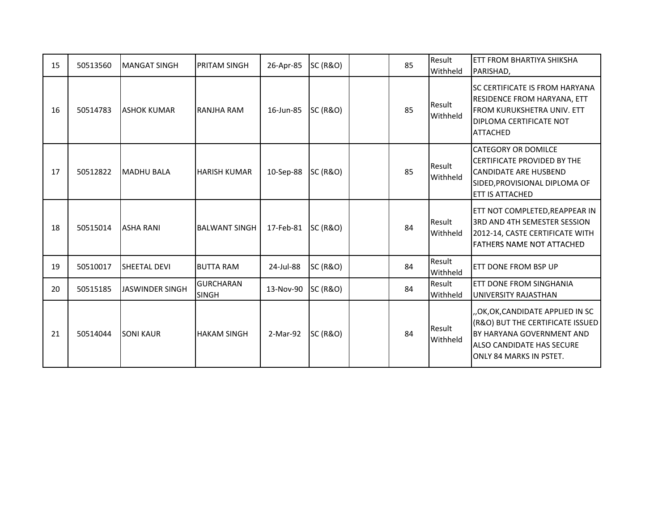| 15 | 50513560 | <b>MANGAT SINGH</b>    | <b>PRITAM SINGH</b>              | 26-Apr-85 | <b>SC (R&amp;O)</b> | 85 | Result<br>Withheld | ETT FROM BHARTIYA SHIKSHA<br>PARISHAD,                                                                                                                  |
|----|----------|------------------------|----------------------------------|-----------|---------------------|----|--------------------|---------------------------------------------------------------------------------------------------------------------------------------------------------|
| 16 | 50514783 | <b>JASHOK KUMAR</b>    | RANJHA RAM                       | 16-Jun-85 | <b>SC (R&amp;O)</b> | 85 | Result<br>Withheld | <b>SC CERTIFICATE IS FROM HARYANA</b><br><b>RESIDENCE FROM HARYANA, ETT</b><br>FROM KURUKSHETRA UNIV. ETT<br>DIPLOMA CERTIFICATE NOT<br><b>ATTACHED</b> |
| 17 | 50512822 | <b>MADHU BALA</b>      | <b>HARISH KUMAR</b>              | 10-Sep-88 | <b>SC (R&amp;O)</b> | 85 | Result<br>Withheld | <b>CATEGORY OR DOMILCE</b><br><b>CERTIFICATE PROVIDED BY THE</b><br><b>CANDIDATE ARE HUSBEND</b><br>SIDED, PROVISIONAL DIPLOMA OF<br>ETT IS ATTACHED    |
| 18 | 50515014 | <b>ASHA RANI</b>       | <b>BALWANT SINGH</b>             | 17-Feb-81 | <b>SC (R&amp;O)</b> | 84 | Result<br>Withheld | ETT NOT COMPLETED, REAPPEAR IN<br>3RD AND 4TH SEMESTER SESSION<br>2012-14, CASTE CERTIFICATE WITH<br><b>FATHERS NAME NOT ATTACHED</b>                   |
| 19 | 50510017 | SHEETAL DEVI           | <b>BUTTA RAM</b>                 | 24-Jul-88 | <b>SC (R&amp;O)</b> | 84 | Result<br>Withheld | ETT DONE FROM BSP UP                                                                                                                                    |
| 20 | 50515185 | <b>JASWINDER SINGH</b> | <b>GURCHARAN</b><br><b>SINGH</b> | 13-Nov-90 | <b>SC (R&amp;O)</b> | 84 | Result<br>Withheld | ETT DONE FROM SINGHANIA<br>UNIVERSITY RAJASTHAN                                                                                                         |
| 21 | 50514044 | <b>SONI KAUR</b>       | <b>HAKAM SINGH</b>               | 2-Mar-92  | <b>SC (R&amp;O)</b> | 84 | Result<br>Withheld | "OK,OK,CANDIDATE APPLIED IN SC<br>(R&O) BUT THE CERTIFICATE ISSUED<br>BY HARYANA GOVERNMENT AND<br>ALSO CANDIDATE HAS SECURE<br>ONLY 84 MARKS IN PSTET. |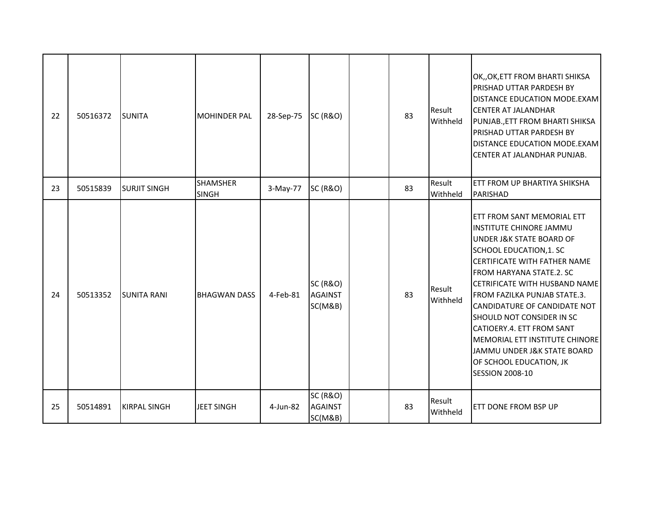| 22 | 50516372 | <b>SUNITA</b>       | <b>MOHINDER PAL</b>             | 28-Sep-75 | <b>SC (R&amp;O)</b>                              | 83 | Result<br>Withheld | OK,, OK, ETT FROM BHARTI SHIKSA<br><b>PRISHAD UTTAR PARDESH BY</b><br>DISTANCE EDUCATION MODE.EXAM<br><b>CENTER AT JALANDHAR</b><br>PUNJAB., ETT FROM BHARTI SHIKSA<br><b>PRISHAD UTTAR PARDESH BY</b><br>DISTANCE EDUCATION MODE.EXAM<br>CENTER AT JALANDHAR PUNJAB.                                                                                                                                                                                     |
|----|----------|---------------------|---------------------------------|-----------|--------------------------------------------------|----|--------------------|-----------------------------------------------------------------------------------------------------------------------------------------------------------------------------------------------------------------------------------------------------------------------------------------------------------------------------------------------------------------------------------------------------------------------------------------------------------|
| 23 | 50515839 | <b>SURJIT SINGH</b> | <b>SHAMSHER</b><br><b>SINGH</b> | 3-May-77  | <b>SC (R&amp;O)</b>                              | 83 | Result<br>Withheld | ETT FROM UP BHARTIYA SHIKSHA<br>PARISHAD                                                                                                                                                                                                                                                                                                                                                                                                                  |
| 24 | 50513352 | <b>SUNITA RANI</b>  | <b>BHAGWAN DASS</b>             | 4-Feb-81  | <b>SC (R&amp;O)</b><br><b>AGAINST</b><br>SC(M&B) | 83 | Result<br>Withheld | ETT FROM SANT MEMORIAL ETT<br>INSTITUTE CHINORE JAMMU<br>UNDER J&K STATE BOARD OF<br>SCHOOL EDUCATION, 1. SC<br>CERTIFICATE WITH FATHER NAME<br>FROM HARYANA STATE.2. SC<br>CETRIFICATE WITH HUSBAND NAME<br>FROM FAZILKA PUNJAB STATE.3.<br>CANDIDATURE OF CANDIDATE NOT<br>SHOULD NOT CONSIDER IN SC<br>CATIOERY.4. ETT FROM SANT<br>MEMORIAL ETT INSTITUTE CHINORE<br>JAMMU UNDER J&K STATE BOARD<br>OF SCHOOL EDUCATION, JK<br><b>SESSION 2008-10</b> |
| 25 | 50514891 | <b>KIRPAL SINGH</b> | <b>JEET SINGH</b>               | 4-Jun-82  | <b>SC (R&amp;O)</b><br><b>AGAINST</b><br>SC(M&B) | 83 | Result<br>Withheld | <b>ETT DONE FROM BSP UP</b>                                                                                                                                                                                                                                                                                                                                                                                                                               |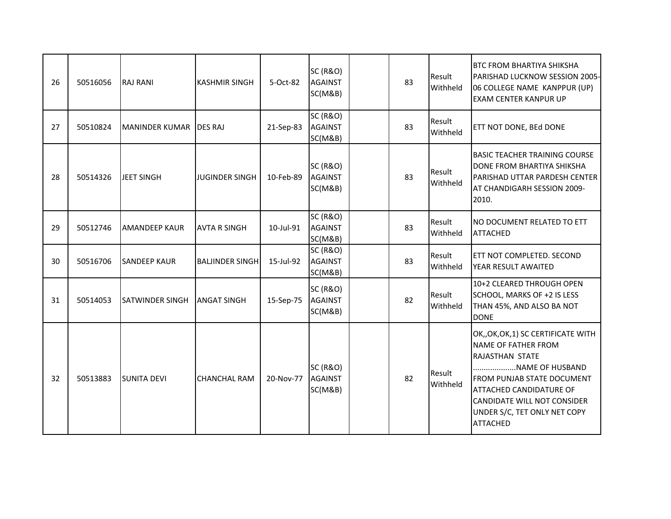| 26 | 50516056 | <b>RAJ RANI</b>        | <b>KASHMIR SINGH</b>   | 5-Oct-82  | <b>SC (R&amp;O)</b><br><b>AGAINST</b><br>SC(M&B) | 83 | Result<br>Withheld | <b>BTC FROM BHARTIYA SHIKSHA</b><br>PARISHAD LUCKNOW SESSION 2005-<br>06 COLLEGE NAME KANPPUR (UP)<br><b>EXAM CENTER KANPUR UP</b>                                                                                                                                      |
|----|----------|------------------------|------------------------|-----------|--------------------------------------------------|----|--------------------|-------------------------------------------------------------------------------------------------------------------------------------------------------------------------------------------------------------------------------------------------------------------------|
| 27 | 50510824 | MANINDER KUMAR DES RAJ |                        | 21-Sep-83 | <b>SC (R&amp;O)</b><br><b>AGAINST</b><br>SC(M&B) | 83 | Result<br>Withheld | ETT NOT DONE, BEd DONE                                                                                                                                                                                                                                                  |
| 28 | 50514326 | JEET SINGH             | <b>JUGINDER SINGH</b>  | 10-Feb-89 | <b>SC (R&amp;O)</b><br><b>AGAINST</b><br>SC(M&B) | 83 | Result<br>Withheld | <b>BASIC TEACHER TRAINING COURSE</b><br>DONE FROM BHARTIYA SHIKSHA<br>PARISHAD UTTAR PARDESH CENTER<br>AT CHANDIGARH SESSION 2009-<br>2010.                                                                                                                             |
| 29 | 50512746 | <b>AMANDEEP KAUR</b>   | <b>AVTA R SINGH</b>    | 10-Jul-91 | <b>SC (R&amp;O)</b><br><b>AGAINST</b><br>SC(M&B) | 83 | Result<br>Withheld | NO DOCUMENT RELATED TO ETT<br><b>ATTACHED</b>                                                                                                                                                                                                                           |
| 30 | 50516706 | <b>SANDEEP KAUR</b>    | <b>BALJINDER SINGH</b> | 15-Jul-92 | <b>SC (R&amp;O)</b><br><b>AGAINST</b><br>SC(M&B) | 83 | Result<br>Withheld | ETT NOT COMPLETED. SECOND<br>YEAR RESULT AWAITED                                                                                                                                                                                                                        |
| 31 | 50514053 | <b>SATWINDER SINGH</b> | <b>ANGAT SINGH</b>     | 15-Sep-75 | <b>SC (R&amp;O)</b><br><b>AGAINST</b><br>SC(M&B) | 82 | Result<br>Withheld | 10+2 CLEARED THROUGH OPEN<br>SCHOOL, MARKS OF +2 IS LESS<br>THAN 45%, AND ALSO BA NOT<br><b>DONE</b>                                                                                                                                                                    |
| 32 | 50513883 | <b>SUNITA DEVI</b>     | <b>CHANCHAL RAM</b>    | 20-Nov-77 | <b>SC (R&amp;O)</b><br><b>AGAINST</b><br>SC(M&B) | 82 | Result<br>Withheld | OK,, OK, OK, 1) SC CERTIFICATE WITH<br>NAME OF FATHER FROM<br><b>RAJASTHAN STATE</b><br>NAME OF HUSBAND<br><b>FROM PUNJAB STATE DOCUMENT</b><br><b>ATTACHED CANDIDATURE OF</b><br><b>CANDIDATE WILL NOT CONSIDER</b><br>UNDER S/C, TET ONLY NET COPY<br><b>ATTACHED</b> |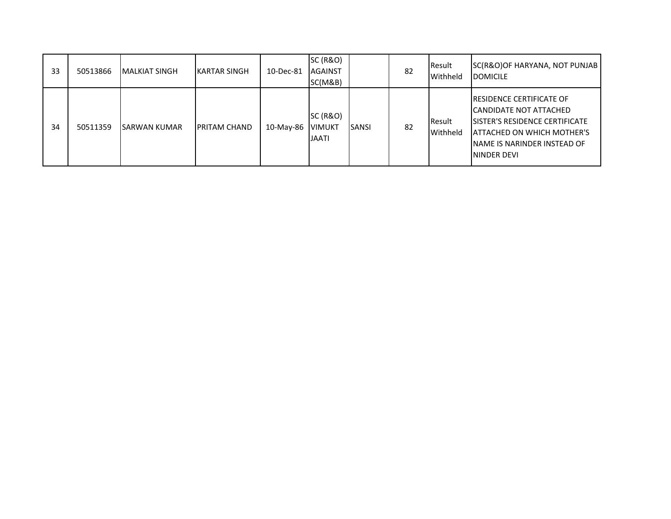| 33 | 50513866 | MALKIAT SINGH       | <b>KARTAR SINGH</b>  | 10-Dec-81 | <b>SC (R&amp;O)</b><br><b>AGAINST</b><br>SC(M&B)     |               | 82 | Result<br>Withheld          | SC(R&O)OF HARYANA, NOT PUNJAB<br><b>DOMICILE</b>                                                                                                                                                 |
|----|----------|---------------------|----------------------|-----------|------------------------------------------------------|---------------|----|-----------------------------|--------------------------------------------------------------------------------------------------------------------------------------------------------------------------------------------------|
| 34 | 50511359 | <b>SARWAN KUMAR</b> | <b>IPRITAM CHAND</b> | 10-May-86 | <b>SC (R&amp;O)</b><br><b>VIMUKT</b><br><b>JAATI</b> | <b>ISANSI</b> | 82 | <b>I</b> Result<br>Withheld | <b>RESIDENCE CERTIFICATE OF</b><br>ICANDIDATE NOT ATTACHED<br><b>ISISTER'S RESIDENCE CERTIFICATE</b><br><b>ATTACHED ON WHICH MOTHER'S</b><br>INAME IS NARINDER INSTEAD OF<br><b>ININDER DEVI</b> |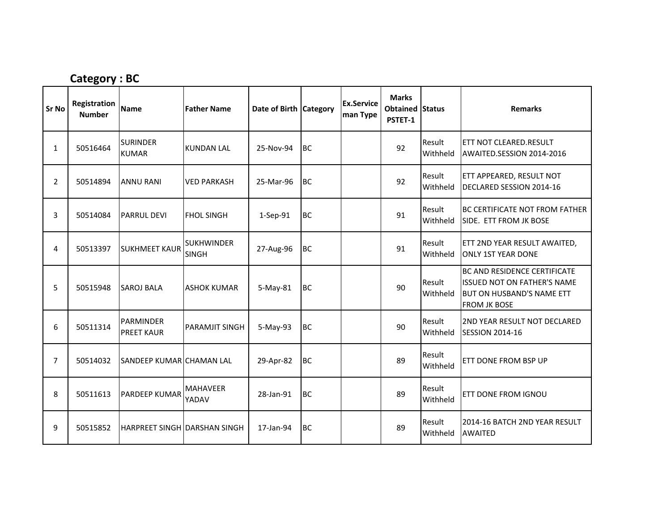# Category : BC

| <b>Sr No</b>   | Registration<br><b>Number</b> | <b>Name</b>                           | <b>Father Name</b>                | Date of Birth Category |           | <b>Ex.Service</b><br>man Type | <b>Marks</b><br><b>Obtained Status</b><br>PSTET-1 |                    | <b>Remarks</b>                                                                                                         |
|----------------|-------------------------------|---------------------------------------|-----------------------------------|------------------------|-----------|-------------------------------|---------------------------------------------------|--------------------|------------------------------------------------------------------------------------------------------------------------|
| $\mathbf{1}$   | 50516464                      | <b>SURINDER</b><br><b>KUMAR</b>       | <b>KUNDAN LAL</b>                 | 25-Nov-94              | <b>BC</b> |                               | 92                                                | Result<br>Withheld | <b>ETT NOT CLEARED.RESULT</b><br>AWAITED.SESSION 2014-2016                                                             |
| $\overline{2}$ | 50514894                      | <b>ANNU RANI</b>                      | <b>VED PARKASH</b>                | 25-Mar-96              | <b>BC</b> |                               | 92                                                | Result<br>Withheld | ETT APPEARED, RESULT NOT<br>DECLARED SESSION 2014-16                                                                   |
| 3              | 50514084                      | <b>PARRUL DEVI</b>                    | <b>FHOL SINGH</b>                 | 1-Sep-91               | <b>BC</b> |                               | 91                                                | Result<br>Withheld | <b>BC CERTIFICATE NOT FROM FATHER</b><br>SIDE. ETT FROM JK BOSE                                                        |
| 4              | 50513397                      | <b>SUKHMEET KAUR</b>                  | <b>SUKHWINDER</b><br><b>SINGH</b> | 27-Aug-96              | <b>BC</b> |                               | 91                                                | Result<br>Withheld | ETT 2ND YEAR RESULT AWAITED,<br><b>ONLY 1ST YEAR DONE</b>                                                              |
| 5              | 50515948                      | <b>SAROJ BALA</b>                     | ASHOK KUMAR                       | 5-May-81               | <b>BC</b> |                               | 90                                                | Result<br>Withheld | BC AND RESIDENCE CERTIFICATE<br><b>ISSUED NOT ON FATHER'S NAME</b><br>BUT ON HUSBAND'S NAME ETT<br><b>FROM JK BOSE</b> |
| 6              | 50511314                      | <b>PARMINDER</b><br><b>PREET KAUR</b> | PARAMJIT SINGH                    | 5-May-93               | <b>BC</b> |                               | 90                                                | Result<br>Withheld | <b>2ND YEAR RESULT NOT DECLARED</b><br><b>SESSION 2014-16</b>                                                          |
| $\overline{7}$ | 50514032                      | SANDEEP KUMAR CHAMAN LAL              |                                   | 29-Apr-82              | <b>BC</b> |                               | 89                                                | Result<br>Withheld | ETT DONE FROM BSP UP                                                                                                   |
| 8              | 50511613                      | PARDEEP KUMAR                         | <b>MAHAVEER</b><br>YADAV          | 28-Jan-91              | <b>BC</b> |                               | 89                                                | Result<br>Withheld | ETT DONE FROM IGNOU                                                                                                    |
| 9              | 50515852                      | HARPREET SINGH DARSHAN SINGH          |                                   | 17-Jan-94              | <b>BC</b> |                               | 89                                                | Result<br>Withheld | 2014-16 BATCH 2ND YEAR RESULT<br><b>AWAITED</b>                                                                        |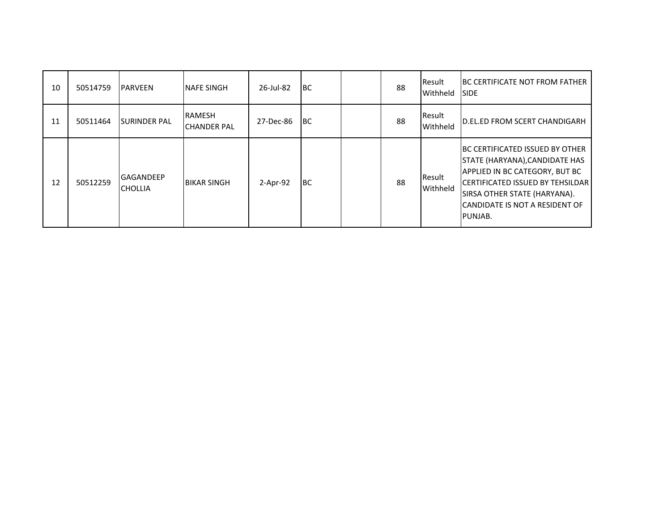| 10 | 50514759 | <b>PARVEEN</b>                     | <b>INAFE SINGH</b>                   | 26-Jul-82  | IBC.      | 88 | Result<br>Withheld | <b>IBC CERTIFICATE NOT FROM FATHER</b><br><b>SIDE</b>                                                                                                                                                                                      |
|----|----------|------------------------------------|--------------------------------------|------------|-----------|----|--------------------|--------------------------------------------------------------------------------------------------------------------------------------------------------------------------------------------------------------------------------------------|
| 11 | 50511464 | <b>SURINDER PAL</b>                | <b>RAMESH</b><br><b>ICHANDER PAL</b> | 27-Dec-86  | <b>BC</b> | 88 | Result<br>Withheld | <b>ID.EL.ED FROM SCERT CHANDIGARH</b>                                                                                                                                                                                                      |
| 12 | 50512259 | <b>GAGANDEEP</b><br><b>CHOLLIA</b> | <b>BIKAR SINGH</b>                   | $2-Apr-92$ | <b>BC</b> | 88 | Result<br>Withheld | <b>BC CERTIFICATED ISSUED BY OTHER</b><br>STATE (HARYANA), CANDIDATE HAS<br>APPLIED IN BC CATEGORY, BUT BC<br><b>ICERTIFICATED ISSUED BY TEHSILDAR</b><br><b>SIRSA OTHER STATE (HARYANA).</b><br>CANDIDATE IS NOT A RESIDENT OF<br>PUNJAB. |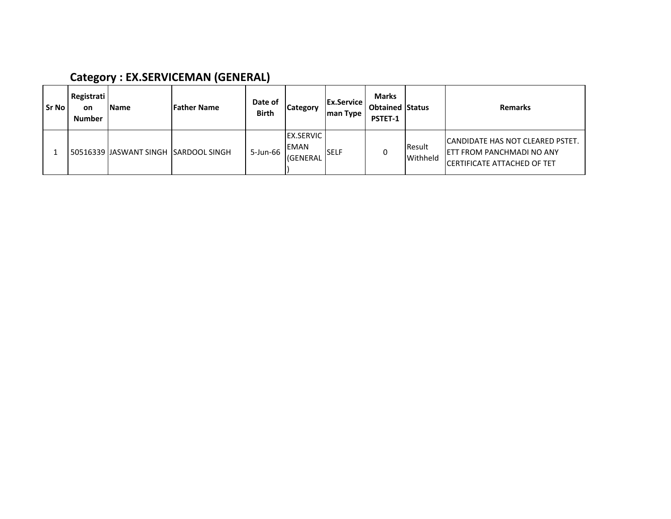### Category : EX.SERVICEMAN (GENERAL)

| l Sr No | Registrati<br><b>on</b><br><b>Number</b> | <b>Name</b>                            | <b>Father Name</b> | Date of<br><b>Birth</b> | <b>Category</b>                       | <b>IEx.Service</b><br>man Type | <b>Marks</b><br><b>Obtained Status</b><br>PSTET-1 |                           | <b>Remarks</b>                                                                                                      |
|---------|------------------------------------------|----------------------------------------|--------------------|-------------------------|---------------------------------------|--------------------------------|---------------------------------------------------|---------------------------|---------------------------------------------------------------------------------------------------------------------|
|         |                                          | 50516339 IJASWANT SINGH ISARDOOL SINGH |                    | 5-Jun-66                | <b>EX.SERVIC</b><br>EMAN<br>l(GENERAL | <b>ISELF</b>                   |                                                   | <b>Result</b><br>Withheld | <b>ICANDIDATE HAS NOT CLEARED PSTET.</b><br><b>JETT FROM PANCHMADI NO ANY</b><br><b>CERTIFICATE ATTACHED OF TET</b> |